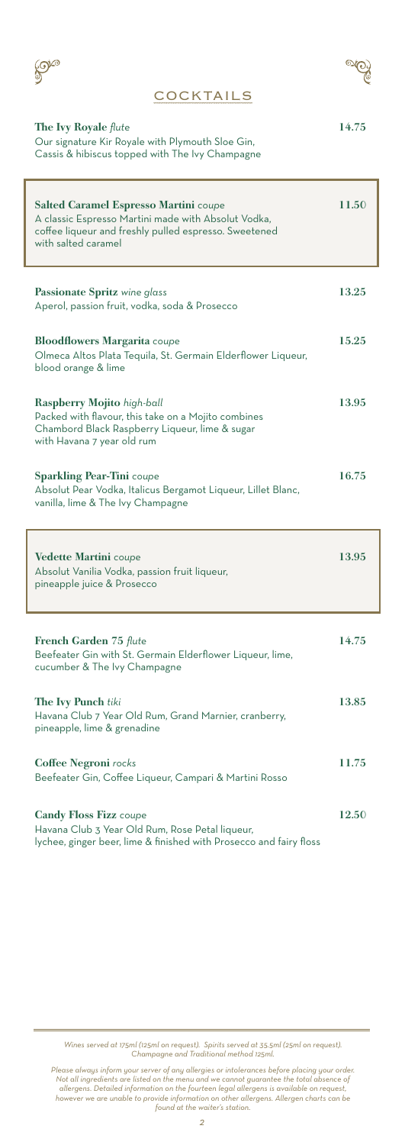



T

### **COCKTAILS**

| <b>The Ivy Royale flute</b>                                                                 | 14.75 |
|---------------------------------------------------------------------------------------------|-------|
| $Q_{\text{tot}}$ signature $V_{\text{tot}}$ Developed the Democratic Class $C_{\text{tot}}$ |       |

Our signature Kir Royale with Plymouth Sloe Gin, Cassis & hibiscus topped with The Ivy Champagne

| <b>Salted Caramel Espresso Martini coupe</b><br>A classic Espresso Martini made with Absolut Vodka,<br>coffee liqueur and freshly pulled espresso. Sweetened<br>with salted caramel | 11.50 |
|-------------------------------------------------------------------------------------------------------------------------------------------------------------------------------------|-------|
| Passionate Spritz wine glass<br>Aperol, passion fruit, vodka, soda & Prosecco                                                                                                       | 13.25 |
| <b>Bloodflowers Margarita coupe</b><br>Olmeca Altos Plata Tequila, St. Germain Elderflower Liqueur,<br>blood orange & lime                                                          | 15.25 |
| Raspberry Mojito high-ball<br>Packed with flavour, this take on a Mojito combines<br>Chambord Black Raspberry Liqueur, lime & sugar<br>with Havana 7 year old rum                   | 13.95 |
| <b>Sparkling Pear-Tini</b> coupe<br>Absolut Pear Vodka, Italicus Bergamot Liqueur, Lillet Blanc,<br>vanilla, lime & The Ivy Champagne                                               | 16.75 |
| <b>Vedette Martini</b> coupe<br>Absolut Vanilia Vodka, passion fruit liqueur,<br>pineapple juice & Prosecco                                                                         | 13.95 |
| French Garden 75 flute<br>Beefeater Gin with St. Germain Elderflower Liqueur, lime,<br>cucumber & The Ivy Champagne                                                                 | 14.75 |
|                                                                                                                                                                                     |       |
| <b>The Ivy Punch tiki</b><br>Havana Club 7 Year Old Rum, Grand Marnier, cranberry,<br>pineapple, lime & grenadine                                                                   | 13.85 |
| <b>Coffee Negroni</b> rocks<br>Beefeater Gin, Coffee Liqueur, Campari & Martini Rosso                                                                                               | 11.75 |

*Wines served at 175ml (125ml on request). Spirits served at 35.5ml (25ml on request). Champagne and Traditional method 125ml.*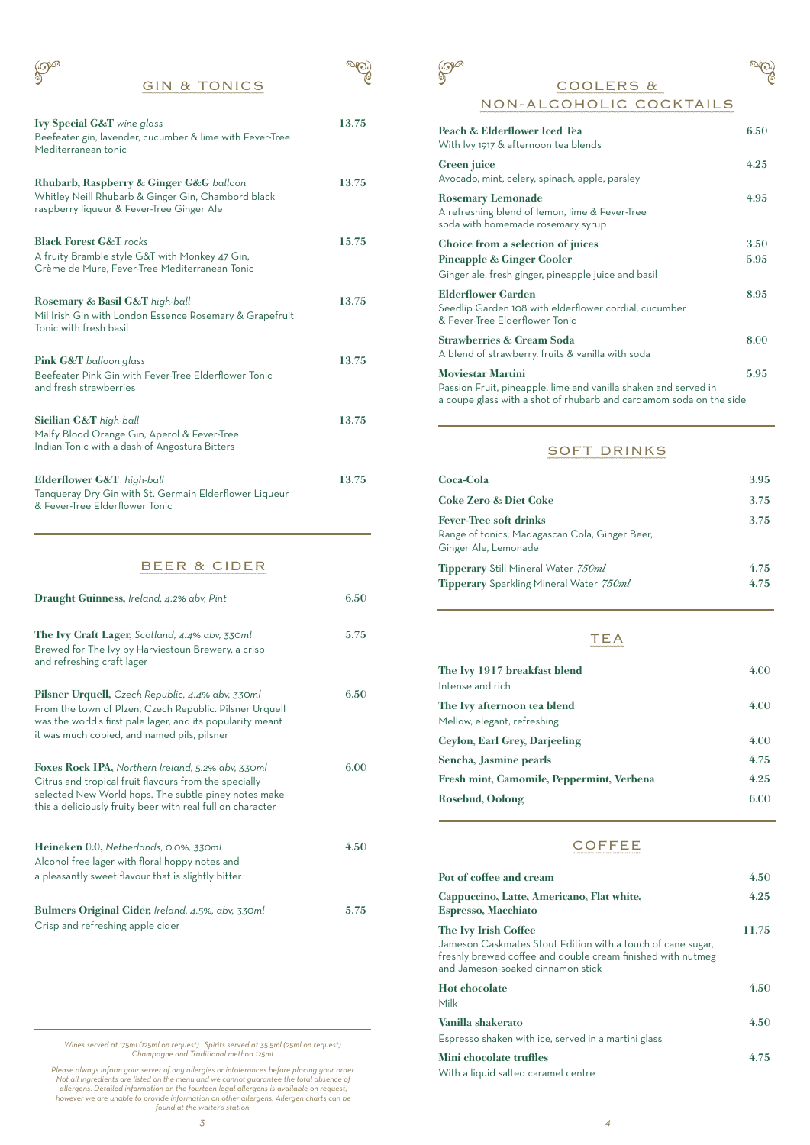### GIN & TONICS

| <b>Ivy Special G&amp;T</b> wine glass<br>Beefeater gin, lavender, cucumber & lime with Fever-Tree<br>Mediterranean tonic                   | 13.75 |
|--------------------------------------------------------------------------------------------------------------------------------------------|-------|
| Rhubarb, Raspberry & Ginger G&G balloon<br>Whitley Neill Rhubarb & Ginger Gin, Chambord black<br>raspberry liqueur & Fever-Tree Ginger Ale | 13.75 |
| <b>Black Forest G&amp;T</b> rocks<br>A fruity Bramble style G&T with Monkey 47 Gin,<br>Crème de Mure, Fever-Tree Mediterranean Tonic       | 15.75 |
| Rosemary & Basil G&T high-ball<br>Mil Irish Gin with London Essence Rosemary & Grapefruit<br>Tonic with fresh basil                        | 13.75 |
| <b>Pink G&amp;T</b> balloon glass<br>Beefeater Pink Gin with Fever-Tree Elderflower Tonic<br>and fresh strawberries                        | 13.75 |
| Sicilian G&T high-ball<br>Malfy Blood Orange Gin, Aperol & Fever-Tree<br>Indian Tonic with a dash of Angostura Bitters                     | 13.75 |
| Elderflower G&T high-ball<br>Tanqueray Dry Gin with St. Germain Elderflower Liqueur                                                        | 13.75 |

#### BEER & CIDER

& Fever-Tree Elderflower Tonic

| Draught Guinness, Ireland, 4.2% abv, Pint                                                                                                                                                                                        | 6.50 |
|----------------------------------------------------------------------------------------------------------------------------------------------------------------------------------------------------------------------------------|------|
| The Ivy Craft Lager, Scotland, 4.4% abv, 330ml<br>Brewed for The Ivy by Harviestoun Brewery, a crisp<br>and refreshing craft lager                                                                                               | 5.75 |
| Pilsner Urquell, Czech Republic, 4.4% abv, 330ml<br>From the town of Plzen, Czech Republic. Pilsner Urquell<br>was the world's first pale lager, and its popularity meant<br>it was much copied, and named pils, pilsner         | 6.50 |
| Foxes Rock IPA, Northern Ireland, 5.2% abv, 330ml<br>Citrus and tropical fruit flavours from the specially<br>selected New World hops. The subtle piney notes make<br>this a deliciously fruity beer with real full on character | 6.00 |
| Heineken 0.0, Netherlands, 0.0%, 330ml<br>Alcohol free lager with floral hoppy notes and<br>a pleasantly sweet flavour that is slightly bitter                                                                                   | 4.50 |
| Bulmers Original Cider, Ireland, 4.5%, abv, 330ml<br>Crisp and refreshing apple cider                                                                                                                                            | 5.75 |

*Wines served at 175ml (125ml on request). Spirits served at 35.5ml (25ml on request). Champagne and Traditional method 125ml.*

Please always inform your server of any allergies or intolerances before placing your order.<br>Not all ingredients are listed on the menu and we cannot guarantee the total absence of<br>allergens. Detailed information on the fo

COOLERS &

 $\mathbb{S}^2$ 

## NON-ALCOHOLIC COCKTAILS Peach & Elderflower Iced Tea 6.50 With Ivy 1917 & afternoon tea blends Green juice 4.25 Avocado, mint, celery, spinach, apple, parsley Rosemary Lemonade 4.95 A refreshing blend of lemon, lime & Fever-Tree soda with homemade rosemary syrup Choice from a selection of juices 3.50 Pineapple & Ginger Cooler 5.95 Ginger ale, fresh ginger, pineapple juice and basil Elderflower Garden 8.95 Seedlip Garden 108 with elderflower cordial, cucumber & Fever-Tree Elderflower Tonic Strawberries & Cream Soda 8.00 A blend of strawberry, fruits & vanilla with soda

 $\overline{\mathcal{P}}$ 

Moviestar Martini 5.95 Passion Fruit, pineapple, lime and vanilla shaken and served in a coupe glass with a shot of rhubarb and cardamom soda on the side

### SOFT DRINKS

| Coca-Cola                                                                                               | 3.95         |
|---------------------------------------------------------------------------------------------------------|--------------|
| <b>Coke Zero &amp; Diet Coke</b>                                                                        | 3.75         |
| <b>Fever-Tree soft drinks</b><br>Range of tonics, Madagascan Cola, Ginger Beer,<br>Ginger Ale, Lemonade | 3.75         |
| <b>Tipperary</b> Still Mineral Water 750ml<br><b>Tipperary</b> Sparkling Mineral Water 750ml            | 4.75<br>4.75 |

## TEA

| The Ivy 1917 breakfast blend              | 4.00 |
|-------------------------------------------|------|
| Intense and rich                          |      |
| The Ivy afternoon tea blend               | 4.00 |
| Mellow, elegant, refreshing               |      |
| Ceylon, Earl Grey, Darjeeling             | 4.00 |
| Sencha, Jasmine pearls                    | 4.75 |
| Fresh mint, Camomile, Peppermint, Verbena | 4.25 |
| <b>Rosebud, Oolong</b>                    | 6.00 |
|                                           |      |

### **COFFEE**

| Pot of coffee and cream                                                                                                                                         | 4.50           |
|-----------------------------------------------------------------------------------------------------------------------------------------------------------------|----------------|
| Cappuccino, Latte, Americano, Flat white,<br><b>Espresso, Macchiato</b>                                                                                         | 4.25           |
| The Ivy Irish Coffee                                                                                                                                            | 11.75          |
| Jameson Caskmates Stout Edition with a touch of cane sugar,<br>freshly brewed coffee and double cream finished with nutmeg<br>and Jameson-soaked cinnamon stick |                |
| <b>Hot chocolate</b>                                                                                                                                            | $4.50^{\circ}$ |
| Milk                                                                                                                                                            |                |
| Vanilla shakerato                                                                                                                                               | 4.50           |
| Espresso shaken with ice, served in a martini glass                                                                                                             |                |
| Mini chocolate truffles                                                                                                                                         | 4.75           |
| With a liquid salted caramel centre                                                                                                                             |                |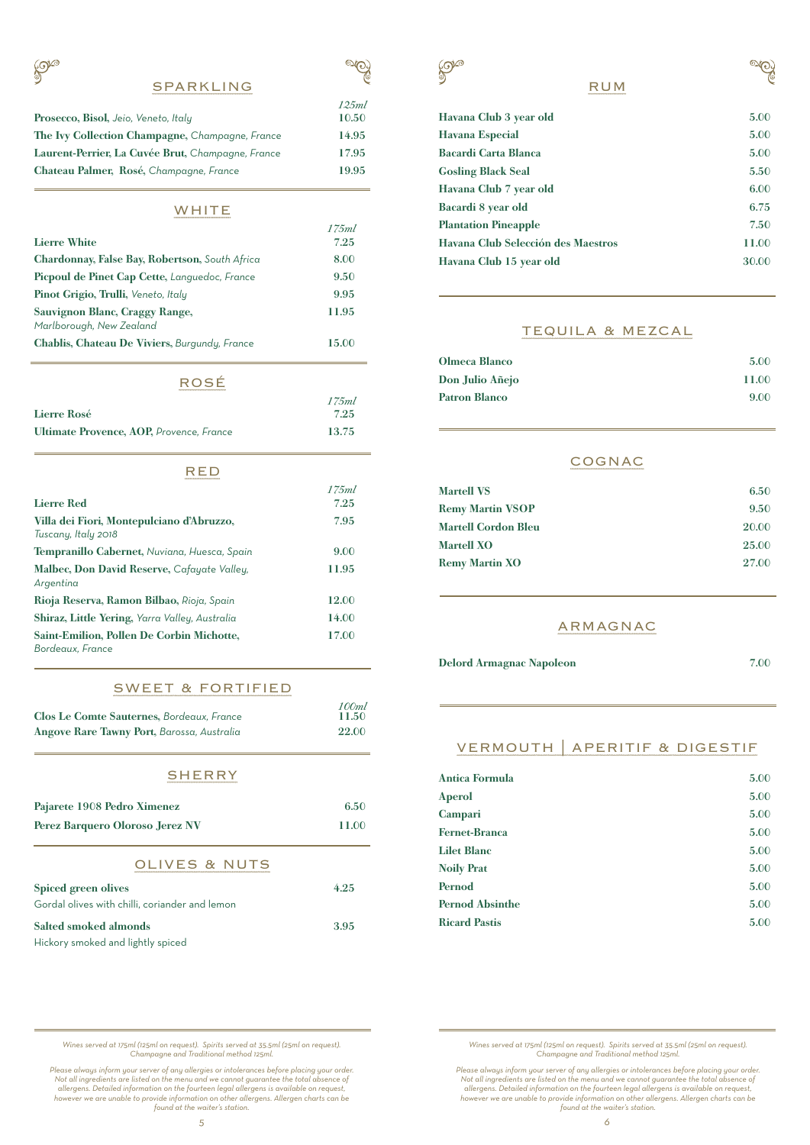$\mathbb{S}^{\mathbb{C}}$ 

|                                                   | 125ml |
|---------------------------------------------------|-------|
| Prosecco, Bisol, Jeio, Veneto, Italy              | 10.50 |
| The Ivy Collection Champagne, Champagne, France   | 14.95 |
| Laurent-Perrier, La Cuvée Brut, Champagne, France | 17.95 |
| Chateau Palmer, Rosé, Champagne, France           | 19.95 |

### **WHITE**

|                                                            | 17.5ml |
|------------------------------------------------------------|--------|
| <b>Lierre White</b>                                        | 7.25   |
| Chardonnay, False Bay, Robertson, South Africa             | 8.00   |
| Picpoul de Pinet Cap Cette, Languedoc, France              | 9.50   |
| Pinot Grigio, Trulli, Veneto, Italy                        | 9.95   |
| Sauvignon Blanc, Craggy Range,<br>Marlborough, New Zealand | 11.95  |
| Chablis, Chateau De Viviers, Burgundy, France              | 15.00  |

# ROSÉ

| RUJE                                                                 |               |
|----------------------------------------------------------------------|---------------|
| Lierre Rosé                                                          | 175ml<br>7.25 |
| Ultimate Provence, AOP, Provence, France                             | 13.75         |
| RED                                                                  |               |
|                                                                      | 175ml         |
| <b>Lierre Red</b>                                                    | 7.25          |
| Villa dei Fiori, Montepulciano d'Abruzzo,                            | 7.95          |
| Tuscany, Italy 2018                                                  |               |
| Tempranillo Cabernet, Nuviana, Huesca, Spain                         | 9.00          |
| Malbec, Don David Reserve, Cafayate Valley,<br>Argentina             | 11.95         |
| Rioja Reserva, Ramon Bilbao, Rioja, Spain                            | 12.00         |
| Shiraz, Little Yering, Yarra Valley, Australia                       | 14.00         |
| <b>Saint-Emilion, Pollen De Corbin Michotte,</b><br>Bordeaux, France | 17.00         |

#### SWEET & FORTIFIED

| <b>Clos Le Comte Sauternes, Bordeaux, France</b> | 100ml<br>11.50 |
|--------------------------------------------------|----------------|
| Angove Rare Tawny Port, Barossa, Australia       | 22.00          |
| <b>SHERRY</b>                                    |                |
| Pajarete 1908 Pedro Ximenez                      | 6.50           |

| Perez Barquero Oloroso Jerez NV                | 11.00 |
|------------------------------------------------|-------|
| <b>OLIVES &amp; NUTS</b>                       |       |
| Spiced green olives                            | 4.25  |
| Gordal olives with chilli, coriander and lemon |       |
| <b>Salted smoked almonds</b>                   | 3.95  |
| Hickory smoked and lightly spiced              |       |

Hickory smoked and lightly spiced



# RUM

| Havana Club 3 year old             | 5.00  |
|------------------------------------|-------|
| <b>Havana Especial</b>             | 5.00  |
| <b>Bacardi Carta Blanca</b>        | 5.00  |
| <b>Gosling Black Seal</b>          | 5.50  |
| Havana Club 7 year old             | 6.00  |
| Bacardi 8 year old                 | 6.75  |
| <b>Plantation Pineapple</b>        | 7.50  |
| Havana Club Selección des Maestros | 11.00 |
| Havana Club 15 year old            | 30.00 |

### TEQUILA & MEZCAL

| Olmeca Blanco        | 5.00  |
|----------------------|-------|
| Don Julio Añejo      | 11.00 |
| <b>Patron Blanco</b> | 9.00  |

### COGNAC

| <b>Martell VS</b>          | 6.50  |
|----------------------------|-------|
| <b>Remy Martin VSOP</b>    | 9.50  |
| <b>Martell Cordon Bleu</b> | 20.00 |
| <b>Martell XO</b>          | 25.00 |
| <b>Remy Martin XO</b>      | 27.00 |

### ARMAGNAC

Delord Armagnac Napoleon 7.00

 $\overline{\mathcal{P}}$ 

# VERMOUTH | APERITIF & DIGESTIF

| <b>Antica Formula</b>  | 5.00 |
|------------------------|------|
| <b>Aperol</b>          | 5.00 |
| <b>Campari</b>         | 5.00 |
| <b>Fernet-Branca</b>   | 5.00 |
| <b>Lilet Blanc</b>     | 5.00 |
| <b>Noily Prat</b>      | 5.00 |
| Pernod                 | 5.00 |
| <b>Pernod Absinthe</b> | 5.00 |
| <b>Ricard Pastis</b>   | 5.00 |

*Wines served at 175ml (125ml on request). Spirits served at 35.5ml (25ml on request). Champagne and Traditional method 125ml.*

Please always inform your server of any allergies or intolerances before placing your order.<br>Not all ingredients are listed on the menu and we cannot guarantee the total absence of<br>allergens. Detailed information on the fo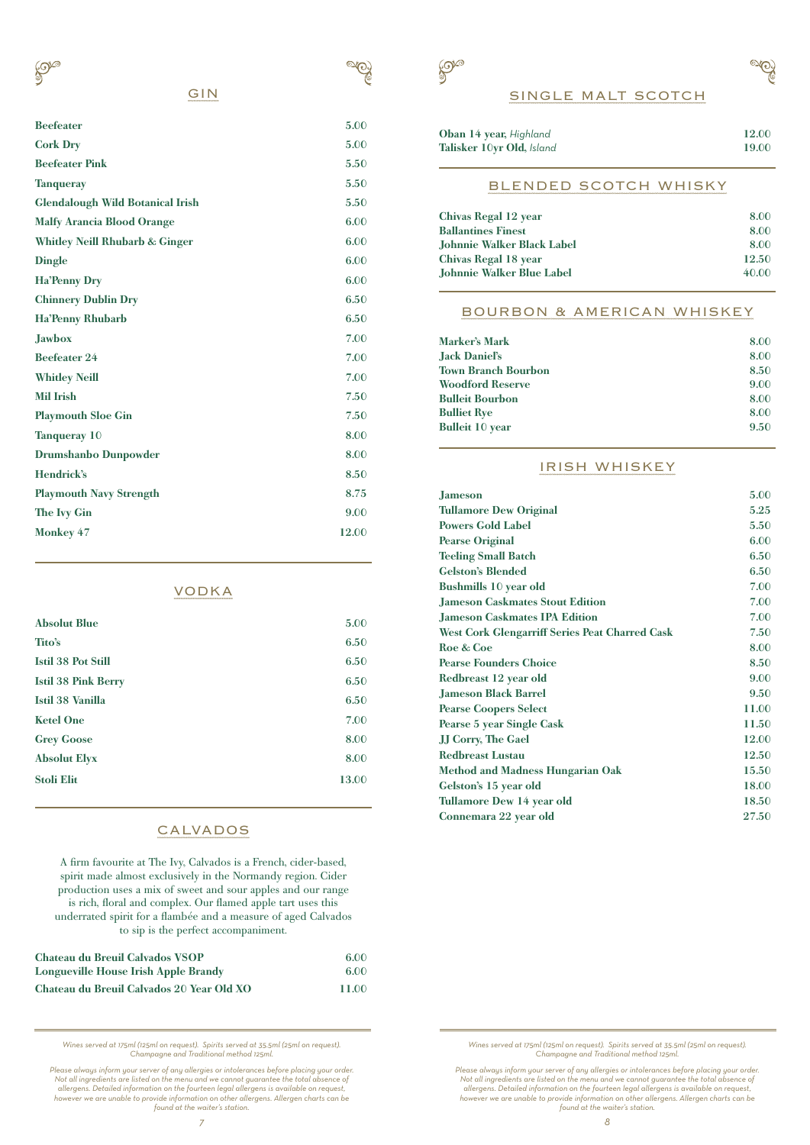

# GIN

 $\mathbb{S}^{\infty}$ 

| <b>Beefeater</b>                          | 5.00  |
|-------------------------------------------|-------|
| <b>Cork Dry</b>                           | 5.00  |
| <b>Beefeater Pink</b>                     | 5.50  |
| <b>Tanqueray</b>                          | 5.50  |
| <b>Glendalough Wild Botanical Irish</b>   | 5.50  |
| <b>Malfy Arancia Blood Orange</b>         | 6.00  |
| <b>Whitley Neill Rhubarb &amp; Ginger</b> | 6.00  |
| <b>Dingle</b>                             | 6.00  |
| <b>Ha'Penny Dry</b>                       | 6.00  |
| <b>Chinnery Dublin Dry</b>                | 6.50  |
| <b>Ha'Penny Rhubarb</b>                   | 6.50  |
| <b>Jawbox</b>                             | 7.00  |
| <b>Beefeater 24</b>                       | 7.00  |
| <b>Whitley Neill</b>                      | 7.00  |
| <b>Mil Irish</b>                          | 7.50  |
| <b>Playmouth Sloe Gin</b>                 | 7.50  |
| <b>Tanqueray 10</b>                       | 8.00  |
| <b>Drumshanbo Dunpowder</b>               | 8.00  |
| Hendrick's                                | 8.50  |
| <b>Playmouth Navy Strength</b>            | 8.75  |
| <b>The Ivy Gin</b>                        | 9.00  |
| <b>Monkey 47</b>                          | 12.00 |
|                                           |       |

## VODKA

| <b>Absolut Blue</b>        | 5.00  |
|----------------------------|-------|
| Tito's                     | 6.50  |
| <b>Istil 38 Pot Still</b>  | 6.50  |
| <b>Istil 38 Pink Berry</b> | 6.50  |
| Istil 38 Vanilla           | 6.50  |
| <b>Ketel One</b>           | 7.00  |
| <b>Grey Goose</b>          | 8.00  |
| <b>Absolut Elyx</b>        | 8.00  |
| <b>Stoli Elit</b>          | 13.00 |
|                            |       |

# CALVADOS

A firm favourite at The Ivy, Calvados is a French, cider-based, spirit made almost exclusively in the Normandy region. Cider production uses a mix of sweet and sour apples and our range is rich, floral and complex. Our flamed apple tart uses this underrated spirit for a flambée and a measure of aged Calvados to sip is the perfect accompaniment.

| Chateau du Breuil Calvados VSOP           | 6.00  |
|-------------------------------------------|-------|
| Longueville House Irish Apple Brandy      | 6.00  |
| Chateau du Breuil Calvados 20 Year Old XO | 11.00 |

*Wines served at 175ml (125ml on request). Spirits served at 35.5ml (25ml on request). Champagne and Traditional method 125ml.*

Please always inform your server of any allergies or intolerances before placing your order.<br>Not all ingredients are listed on the menu and we cannot guarantee the total absence of<br>allergens. Detailed information on the fo



| <b>Oban 14 year, Highland</b> | 12.00 |
|-------------------------------|-------|
| Talisker 10yr Old, Island     | 19.00 |
| BLENDED SCOTCH WHISKY         |       |

| Chivas Regal 12 year       | 8.00  |
|----------------------------|-------|
| <b>Ballantines Finest</b>  | 8.00  |
| Johnnie Walker Black Label | 8.00  |
| Chivas Regal 18 year       | 12.50 |
| Johnnie Walker Blue Label  | 40.00 |
|                            |       |

### BOURBON & AMERICAN WHISKEY

| <b>Marker's Mark</b>       | 8.00 |
|----------------------------|------|
| Jack Daniel's              | 8.00 |
| <b>Town Branch Bourbon</b> | 8.50 |
| <b>Woodford Reserve</b>    | 9.00 |
| <b>Bulleit Bourbon</b>     | 8.00 |
| <b>Bulliet Rye</b>         | 8.00 |
| <b>Bulleit 10 year</b>     | 9.50 |

### IRISH WHISKEY

| <b>Jameson</b>                                        | 5.00  |
|-------------------------------------------------------|-------|
| <b>Tullamore Dew Original</b>                         | 5.25  |
| <b>Powers Gold Label</b>                              | 5.50  |
| <b>Pearse Original</b>                                | 6.00  |
| <b>Teeling Small Batch</b>                            | 6.50  |
| <b>Gelston's Blended</b>                              | 6.50  |
| <b>Bushmills 10 year old</b>                          | 7.00  |
| <b>Jameson Caskmates Stout Edition</b>                | 7.00  |
| <b>Jameson Caskmates IPA Edition</b>                  | 7.00  |
| <b>West Cork Glengarriff Series Peat Charred Cask</b> | 7.50  |
| Roe & Coe                                             | 8.00  |
| <b>Pearse Founders Choice</b>                         | 8.50  |
| Redbreast 12 year old                                 | 9.00  |
| <b>Jameson Black Barrel</b>                           | 9.50  |
| <b>Pearse Coopers Select</b>                          | 11.00 |
| Pearse 5 year Single Cask                             | 11.50 |
| <b>JJ Corry, The Gael</b>                             | 12.00 |
| <b>Redbreast Lustau</b>                               | 12.50 |
| <b>Method and Madness Hungarian Oak</b>               | 15.50 |
| Gelston's 15 year old                                 | 18.00 |
| Tullamore Dew 14 year old                             | 18.50 |
| Connemara 22 year old                                 | 27.50 |
|                                                       |       |

*Wines served at 175ml (125ml on request). Spirits served at 35.5ml (25ml on request). Champagne and Traditional method 125ml.*